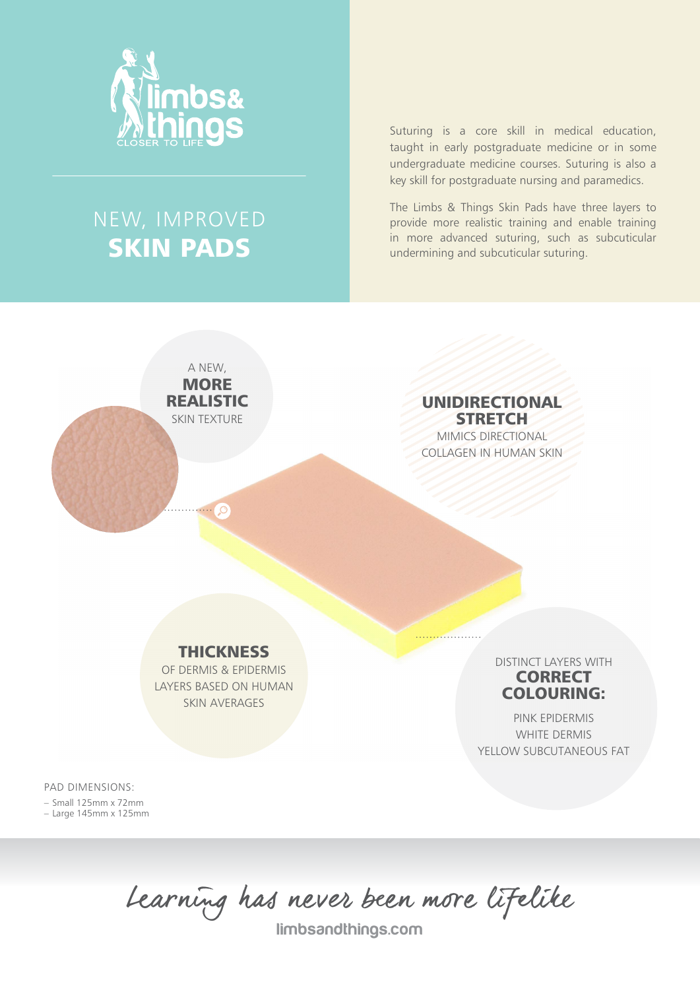

## NEW, IMPROVED SKIN PADS

A NEW, **MORE** REALISTIC SKIN TEXTURE

Suturing is a core skill in medical education, taught in early postgraduate medicine or in some undergraduate medicine courses. Suturing is also a key skill for postgraduate nursing and paramedics.

The Limbs & Things Skin Pads have three layers to provide more realistic training and enable training in more advanced suturing, such as subcuticular undermining and subcuticular suturing.

> UNIDIRECTIONAL **STRETCH** MIMICS DIRECTIONAL COLLAGEN IN HUMAN SKIN

**THICKNESS** 

OF DERMIS & EPIDERMIS LAYERS BASED ON HUMAN SKIN AVERAGES

DISTINCT LAYERS WITH **CORRECT** COLOURING:

PINK EPIDERMIS WHITE DERMIS YELLOW SUBCUTANEOUS FAT

PAD DIMENSIONS:

– Small 125mm x 72mm – Large 145mm x 125mm

Learning has never been more lifelike

limbsandthings.com